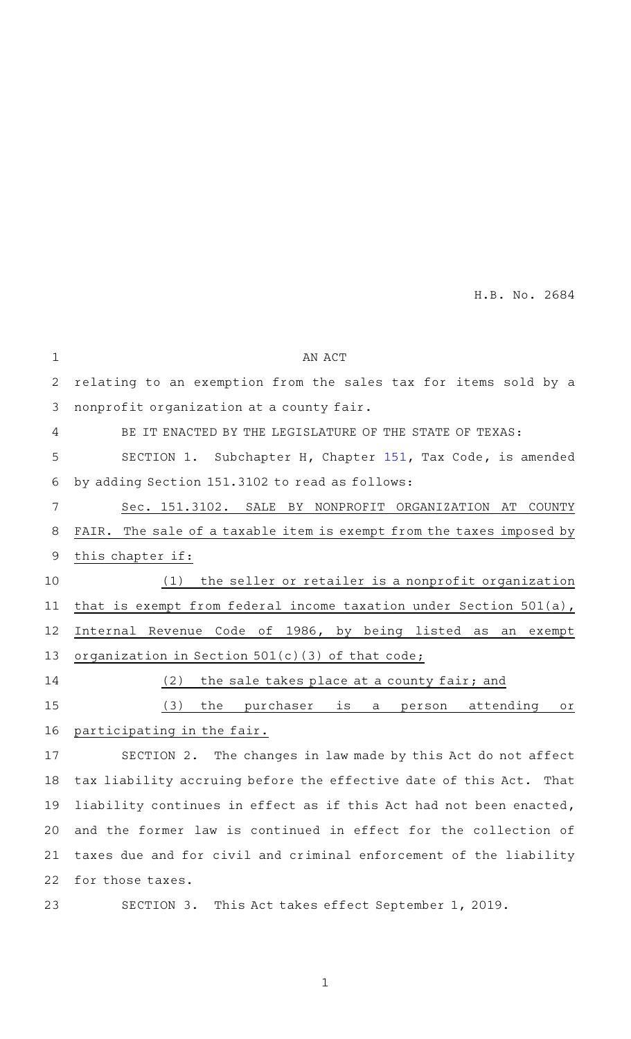H.B. No. 2684

| $\mathbf 1$ | AN ACT                                                               |
|-------------|----------------------------------------------------------------------|
| 2           | relating to an exemption from the sales tax for items sold by a      |
| 3           | nonprofit organization at a county fair.                             |
| 4           | BE IT ENACTED BY THE LEGISLATURE OF THE STATE OF TEXAS:              |
| 5           | SECTION 1. Subchapter H, Chapter 151, Tax Code, is amended           |
| 6           | by adding Section 151.3102 to read as follows:                       |
| 7           | Sec. 151.3102. SALE BY NONPROFIT ORGANIZATION AT<br>COUNTY           |
| 8           | FAIR. The sale of a taxable item is exempt from the taxes imposed by |
| 9           | this chapter if:                                                     |
| 10          | the seller or retailer is a nonprofit organization<br>(1)            |
| 11          | that is exempt from federal income taxation under Section 501(a),    |
| 12          | Internal Revenue Code of 1986, by being listed as<br>an<br>exempt    |
| 13          | organization in Section 501(c)(3) of that code;                      |
| 14          | (2)<br>the sale takes place at a county fair; and                    |
| 15          | the purchaser<br>(3)<br>is<br>attending<br>person<br>Оľ<br>a         |
| 16          | participating in the fair.                                           |
| 17          | SECTION 2. The changes in law made by this Act do not affect         |
| 18          | tax liability accruing before the effective date of this Act. That   |
| 19          | liability continues in effect as if this Act had not been enacted,   |
| 20          | and the former law is continued in effect for the collection of      |
| 21          | taxes due and for civil and criminal enforcement of the liability    |
| 22          | for those taxes.                                                     |
| 23          | SECTION 3. This Act takes effect September 1, 2019.                  |

1